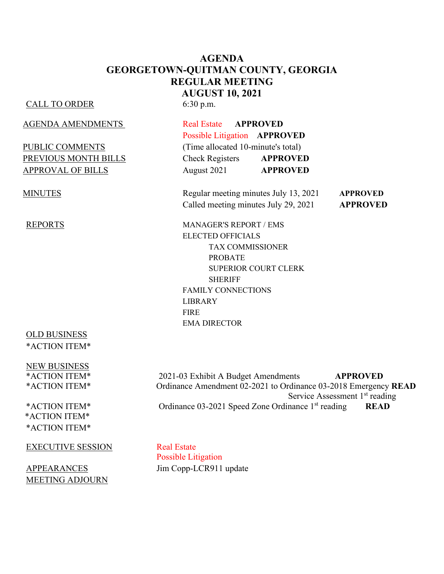## **AGENDA GEORGETOWN-QUITMAN COUNTY, GEORGIA REGULAR MEETING AUGUST 10, 2021**

#### CALL TO ORDER 6:30 p.m.

AGENDA AMENDMENTS Real Estate **APPROVED**

## OLD BUSINESS \*ACTION ITEM\*

NEW BUSINESS

\*ACTION ITEM\* \*ACTION ITEM\*

#### EXECUTIVE SESSION Real Estate

MEETING ADJOURN

 Possible Litigation **APPROVED** PUBLIC COMMENTS (Time allocated 10-minute's total) PREVIOUS MONTH BILLS Check Registers **APPROVED** APPROVAL OF BILLS August 2021 **APPROVED** 

MINUTES Regular meeting minutes July 13, 2021 **APPROVED** Called meeting minutes July 29, 2021 **APPROVED**

REPORTS MANAGER'S REPORT / EMS ELECTED OFFICIALS TAX COMMISSIONER PROBATE SUPERIOR COURT CLERK SHERIFF FAMILY CONNECTIONS LIBRARY FIRE EMA DIRECTOR

\*ACTION ITEM\* 2021-03 Exhibit A Budget Amendments **APPROVED** \*ACTION ITEM\* Ordinance Amendment 02-2021 to Ordinance 03-2018 Emergency **READ** Service Assessment 1<sup>st</sup> reading \*ACTION ITEM\* Ordinance 03-2021 Speed Zone Ordinance 1st reading **READ**

Possible Litigation APPEARANCES Jim Copp-LCR911 update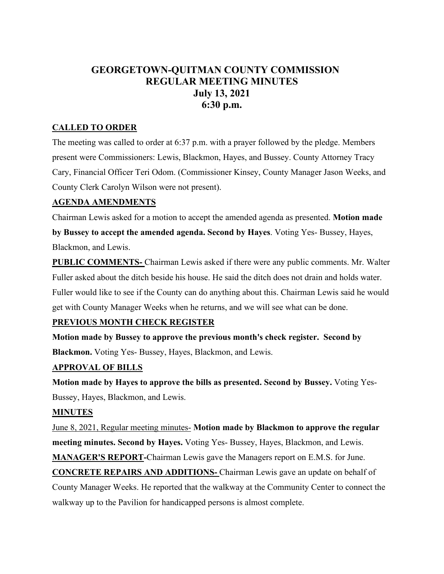# **GEORGETOWN-QUITMAN COUNTY COMMISSION REGULAR MEETING MINUTES July 13, 2021 6:30 p.m.**

#### **CALLED TO ORDER**

The meeting was called to order at 6:37 p.m. with a prayer followed by the pledge. Members present were Commissioners: Lewis, Blackmon, Hayes, and Bussey. County Attorney Tracy Cary, Financial Officer Teri Odom. (Commissioner Kinsey, County Manager Jason Weeks, and County Clerk Carolyn Wilson were not present).

#### **AGENDA AMENDMENTS**

Chairman Lewis asked for a motion to accept the amended agenda as presented. **Motion made** 

**by Bussey to accept the amended agenda. Second by Hayes**. Voting Yes- Bussey, Hayes, Blackmon, and Lewis.

**PUBLIC COMMENTS-** Chairman Lewis asked if there were any public comments. Mr. Walter Fuller asked about the ditch beside his house. He said the ditch does not drain and holds water. Fuller would like to see if the County can do anything about this. Chairman Lewis said he would get with County Manager Weeks when he returns, and we will see what can be done.

#### **PREVIOUS MONTH CHECK REGISTER**

**Motion made by Bussey to approve the previous month's check register. Second by Blackmon.** Voting Yes- Bussey, Hayes, Blackmon, and Lewis.

#### **APPROVAL OF BILLS**

**Motion made by Hayes to approve the bills as presented. Second by Bussey.** Voting Yes-Bussey, Hayes, Blackmon, and Lewis.

#### **MINUTES**

June 8, 2021, Regular meeting minutes- **Motion made by Blackmon to approve the regular meeting minutes. Second by Hayes.** Voting Yes- Bussey, Hayes, Blackmon, and Lewis.

**MANAGER'S REPORT-**Chairman Lewis gave the Managers report on E.M.S. for June.

**CONCRETE REPAIRS AND ADDITIONS-** Chairman Lewis gave an update on behalf of County Manager Weeks. He reported that the walkway at the Community Center to connect the walkway up to the Pavilion for handicapped persons is almost complete.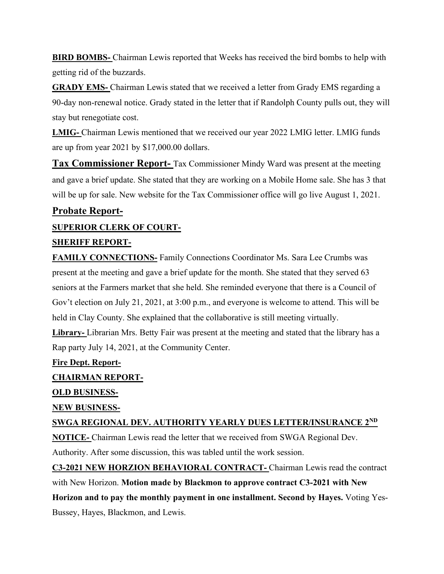**BIRD BOMBS-** Chairman Lewis reported that Weeks has received the bird bombs to help with getting rid of the buzzards.

**GRADY EMS-** Chairman Lewis stated that we received a letter from Grady EMS regarding a 90-day non-renewal notice. Grady stated in the letter that if Randolph County pulls out, they will stay but renegotiate cost.

**LMIG-** Chairman Lewis mentioned that we received our year 2022 LMIG letter. LMIG funds are up from year 2021 by \$17,000.00 dollars.

**Tax Commissioner Report-** Tax Commissioner Mindy Ward was present at the meeting and gave a brief update. She stated that they are working on a Mobile Home sale. She has 3 that will be up for sale. New website for the Tax Commissioner office will go live August 1, 2021.

## **Probate Report-**

## **SUPERIOR CLERK OF COURT-**

#### **SHERIFF REPORT-**

**FAMILY CONNECTIONS-** Family Connections Coordinator Ms. Sara Lee Crumbs was present at the meeting and gave a brief update for the month. She stated that they served 63 seniors at the Farmers market that she held. She reminded everyone that there is a Council of Gov't election on July 21, 2021, at 3:00 p.m., and everyone is welcome to attend. This will be held in Clay County. She explained that the collaborative is still meeting virtually.

**Library-** Librarian Mrs. Betty Fair was present at the meeting and stated that the library has a Rap party July 14, 2021, at the Community Center.

#### **Fire Dept. Report-**

#### **CHAIRMAN REPORT-**

## **OLD BUSINESS-**

## **NEW BUSINESS-**

## **SWGA REGIONAL DEV. AUTHORITY YEARLY DUES LETTER/INSURANCE 2ND**

**NOTICE-** Chairman Lewis read the letter that we received from SWGA Regional Dev.

Authority. After some discussion, this was tabled until the work session.

**C3-2021 NEW HORZION BEHAVIORAL CONTRACT-** Chairman Lewis read the contract with New Horizon. **Motion made by Blackmon to approve contract C3-2021 with New Horizon and to pay the monthly payment in one installment. Second by Hayes.** Voting Yes-Bussey, Hayes, Blackmon, and Lewis.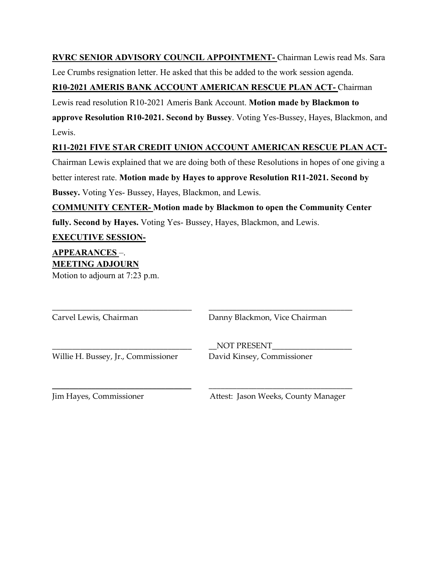**RVRC SENIOR ADVISORY COUNCIL APPOINTMENT-** Chairman Lewis read Ms. Sara Lee Crumbs resignation letter. He asked that this be added to the work session agenda.

## **R10-2021 AMERIS BANK ACCOUNT AMERICAN RESCUE PLAN ACT-** Chairman

Lewis read resolution R10-2021 Ameris Bank Account. **Motion made by Blackmon to** 

**approve Resolution R10-2021. Second by Bussey**. Voting Yes-Bussey, Hayes, Blackmon, and Lewis.

## **R11-2021 FIVE STAR CREDIT UNION ACCOUNT AMERICAN RESCUE PLAN ACT-**

Chairman Lewis explained that we are doing both of these Resolutions in hopes of one giving a better interest rate. **Motion made by Hayes to approve Resolution R11-2021. Second by Bussey.** Voting Yes- Bussey, Hayes, Blackmon, and Lewis.

**COMMUNITY CENTER- Motion made by Blackmon to open the Community Center fully. Second by Hayes.** Voting Yes- Bussey, Hayes, Blackmon, and Lewis.

**EXECUTIVE SESSION-**

## **APPEARANCES** –. **MEETING ADJOURN**

Motion to adjourn at 7:23 p.m.

\_\_\_\_\_\_\_\_\_\_\_\_\_\_\_\_\_\_\_\_\_\_\_\_\_\_\_\_\_\_\_\_\_\_\_ \_\_\_\_\_\_\_\_\_\_\_\_\_\_\_\_\_\_\_\_\_\_\_\_\_\_\_\_\_\_\_\_\_\_\_\_ Carvel Lewis, Chairman Danny Blackmon, Vice Chairman NOT PRESENT Willie H. Bussey, Jr., Commissioner David Kinsey, Commissioner \_\_\_\_\_\_\_\_\_\_\_\_\_\_\_\_\_\_\_\_\_\_\_\_\_\_\_\_\_\_\_\_ \_\_\_\_\_\_\_\_\_\_\_\_\_\_\_\_\_\_\_\_\_\_\_\_\_\_\_\_\_\_\_\_\_\_\_\_

Jim Hayes, Commissioner Attest: Jason Weeks, County Manager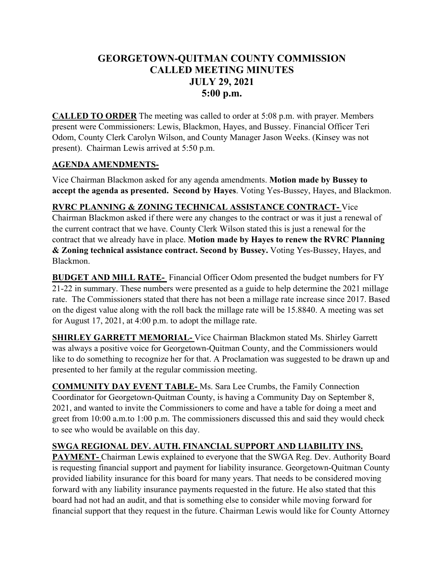# **GEORGETOWN-QUITMAN COUNTY COMMISSION CALLED MEETING MINUTES JULY 29, 2021 5:00 p.m.**

**CALLED TO ORDER** The meeting was called to order at 5:08 p.m. with prayer. Members present were Commissioners: Lewis, Blackmon, Hayes, and Bussey. Financial Officer Teri Odom, County Clerk Carolyn Wilson, and County Manager Jason Weeks. (Kinsey was not present). Chairman Lewis arrived at 5:50 p.m.

## **AGENDA AMENDMENTS-**

Vice Chairman Blackmon asked for any agenda amendments. **Motion made by Bussey to accept the agenda as presented. Second by Hayes**. Voting Yes-Bussey, Hayes, and Blackmon.

## **RVRC PLANNING & ZONING TECHNICAL ASSISTANCE CONTRACT-** Vice Chairman Blackmon asked if there were any changes to the contract or was it just a renewal of the current contract that we have. County Clerk Wilson stated this is just a renewal for the contract that we already have in place. **Motion made by Hayes to renew the RVRC Planning & Zoning technical assistance contract. Second by Bussey.** Voting Yes-Bussey, Hayes, and Blackmon.

**BUDGET AND MILL RATE-** Financial Officer Odom presented the budget numbers for FY 21-22 in summary. These numbers were presented as a guide to help determine the 2021 millage rate. The Commissioners stated that there has not been a millage rate increase since 2017. Based on the digest value along with the roll back the millage rate will be 15.8840. A meeting was set for August 17, 2021, at 4:00 p.m. to adopt the millage rate.

**SHIRLEY GARRETT MEMORIAL-** Vice Chairman Blackmon stated Ms. Shirley Garrett was always a positive voice for Georgetown-Quitman County, and the Commissioners would like to do something to recognize her for that. A Proclamation was suggested to be drawn up and presented to her family at the regular commission meeting.

**COMMUNITY DAY EVENT TABLE-** Ms. Sara Lee Crumbs, the Family Connection Coordinator for Georgetown-Quitman County, is having a Community Day on September 8, 2021, and wanted to invite the Commissioners to come and have a table for doing a meet and greet from 10:00 a.m.to 1:00 p.m. The commissioners discussed this and said they would check to see who would be available on this day.

## **SWGA REGIONAL DEV. AUTH. FINANCIAL SUPPORT AND LIABILITY INS.**

**PAYMENT-** Chairman Lewis explained to everyone that the SWGA Reg. Dev. Authority Board is requesting financial support and payment for liability insurance. Georgetown-Quitman County provided liability insurance for this board for many years. That needs to be considered moving forward with any liability insurance payments requested in the future. He also stated that this board had not had an audit, and that is something else to consider while moving forward for financial support that they request in the future. Chairman Lewis would like for County Attorney